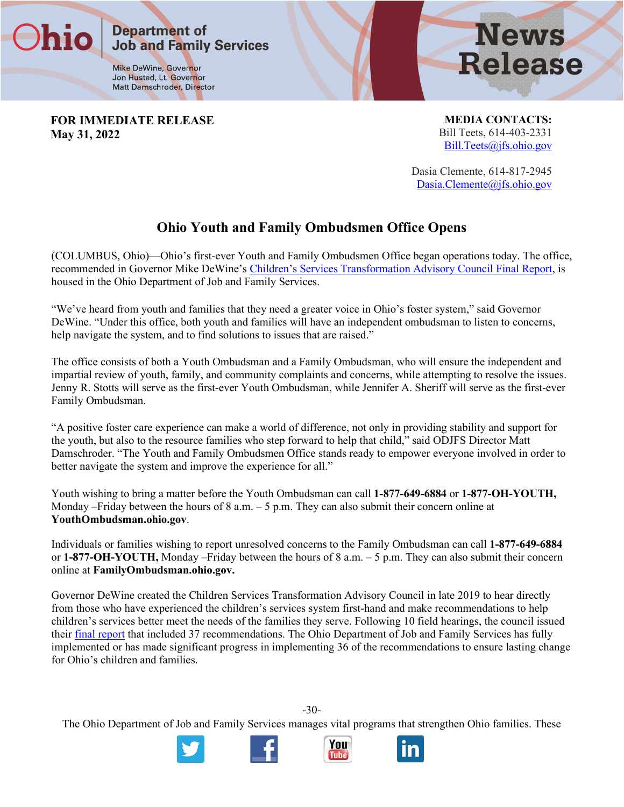**Mike DeWine, Governor** Jon Husted, Lt. Governor Matt Damschroder, Director

**Job and Family Services** 

**Department of** 

**News Release** 

**FOR IMMEDIATE RELEASE May 31, 2022**

**MEDIA CONTACTS:** Bill Teets, 614-403-2331 [Bill.Teets@jfs.ohio.gov](mailto:Thomas.betti@jfs.ohio.gov)

Dasia Clemente, 614-817-2945 [Dasia.Clemente@jfs.ohio.gov](mailto:Dasia.Clemente@jfs.ohio.gov)

## **Ohio Youth and Family Ombudsmen Office Opens**

(COLUMBUS, Ohio)—Ohio's first-ever Youth and Family Ombudsmen Office began operations today. The office, recommended in Governor Mike DeWine's [Children's Services Transformation Advisory Council Final Report,](https://content.govdelivery.com/attachments/OHOOD/2020/11/19/file_attachments/1606570/Transformation%20Final%20Report%20FINAL.pdf) is housed in the Ohio Department of Job and Family Services.

"We've heard from youth and families that they need a greater voice in Ohio's foster system," said Governor DeWine. "Under this office, both youth and families will have an independent ombudsman to listen to concerns, help navigate the system, and to find solutions to issues that are raised."

The office consists of both a Youth Ombudsman and a Family Ombudsman, who will ensure the independent and impartial review of youth, family, and community complaints and concerns, while attempting to resolve the issues. Jenny R. Stotts will serve as the first-ever Youth Ombudsman, while Jennifer A. Sheriff will serve as the first-ever Family Ombudsman.

"A positive foster care experience can make a world of difference, not only in providing stability and support for the youth, but also to the resource families who step forward to help that child," said ODJFS Director Matt Damschroder. "The Youth and Family Ombudsmen Office stands ready to empower everyone involved in order to better navigate the system and improve the experience for all."

Youth wishing to bring a matter before the Youth Ombudsman can call **1-877-649-6884** or **1-877-OH-YOUTH,**  Monday –Friday between the hours of 8 a.m. – 5 p.m. They can also submit their concern online at **YouthOmbudsman.ohio.gov**.

Individuals or families wishing to report unresolved concerns to the Family Ombudsman can call **1-877-649-6884**  or **1-877-OH-YOUTH,** Monday –Friday between the hours of 8 a.m. – 5 p.m. They can also submit their concern online at **FamilyOmbudsman.ohio.gov.**

Governor DeWine created the Children Services Transformation Advisory Council in late 2019 to hear directly from those who have experienced the children's services system first-hand and make recommendations to help children's services better meet the needs of the families they serve. Following 10 field hearings, the council issued their [final report](https://lnks.gd/l/eyJhbGciOiJIUzI1NiJ9.eyJidWxsZXRpbl9saW5rX2lkIjoxMDEsInVyaSI6ImJwMjpjbGljayIsImJ1bGxldGluX2lkIjoiMjAyMjA1MTkuNTgxNTI4NDEiLCJ1cmwiOiJodHRwczovL2dvdmVybm9yLm9oaW8uZ292L3dwcy93Y20vY29ubmVjdC9nb3YvYmU3Y2ZiMzUtNWExMy00ZWM4LTk0ZTYtZjliNDVjZGMwN2Y2L1RyYW5zZm9ybWF0aW9uK0ZpbmFsK1JlcG9ydC5wZGY_TU9EPUFKUEVSRVMmQ09OVkVSVF9UTz11cmwmQ0FDSEVJRD1ST09UV09SS1NQQUNFLloxOF9NMUhHR0lLME4wSk8wMFFPOURERERNMzAwMC1iZTdjZmIzNS01YTEzLTRlYzgtOTRlNi1mOWI0NWNkYzA3ZjYtbm5DQzRBRSJ9.BSaHN55xXvn-cz3WbnmRKINpg8lNeD8RixwLPHtGHF0/s/1806702198/br/131570160294-l) that included 37 recommendations. The Ohio Department of Job and Family Services has fully implemented or has made significant progress in implementing 36 of the recommendations to ensure lasting change for Ohio's children and families.

-30- The Ohio Department of Job and Family Services manages vital programs that strengthen Ohio families. These